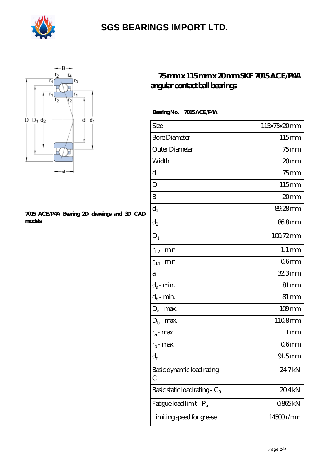



#### **[7015 ACE/P4A Bearing 2D drawings and 3D CAD](https://m.olhac.com/pic-94431.html) [models](https://m.olhac.com/pic-94431.html)**

#### **[75 mm x 115 mm x 20 mm SKF 7015 ACE/P4A](https://m.olhac.com/al-94431-skf-7015-ace-p4a-angular-contact-ball-bearings.html) [angular contact ball bearings](https://m.olhac.com/al-94431-skf-7015-ace-p4a-angular-contact-ball-bearings.html)**

 **Bearing No. 7015 ACE/P4A**

| Size                             | 115x75x20mm         |
|----------------------------------|---------------------|
| <b>Bore Diameter</b>             | 115mm               |
| Outer Diameter                   | $75$ mm             |
| Width                            | 20mm                |
| d                                | $75$ mm             |
| D                                | 115mm               |
| B                                | 20mm                |
| $d_1$                            | 89.28mm             |
| $d_2$                            | 868mm               |
| $D_1$                            | $10072$ mm          |
| $r_{1,2}$ - min.                 | $1.1 \,\mathrm{mm}$ |
| $r_{34}$ - min.                  | 06 <sub>mm</sub>    |
| а                                | 32.3mm              |
| $d_a$ - min.                     | $81 \,\mathrm{mm}$  |
| $d_b$ - min.                     | $81 \,\mathrm{mm}$  |
| $D_a$ - max.                     | $109$ mm            |
| $D_b$ - max.                     | 1108mm              |
| $r_a$ - max.                     | 1 mm                |
| $r_{b}$ - max.                   | 06 <sub>mm</sub>    |
| $\mathbf{d}_{\rm n}$             | 91.5mm              |
| Basic dynamic load rating-<br>C  | 24.7kN              |
| Basic static load rating - $C_0$ | 20.4kN              |
| Fatigue load limit - Pu          | 0865kN              |
| Limiting speed for grease        | 14500r/min          |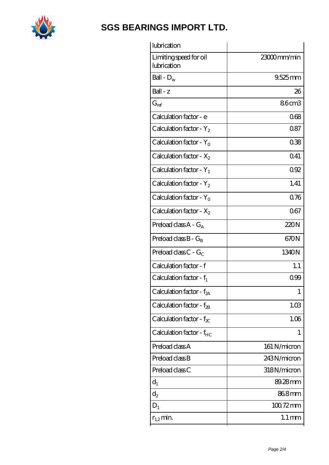

| lubrication                           |                     |
|---------------------------------------|---------------------|
| Limiting speed for oil<br>lubrication | 23000mm/min         |
| Ball - $D_w$                          | $9.525$ mm          |
| Ball - z                              | 26                  |
| $G_{ref}$                             | 86cm3               |
| Calculation factor - e                | 068                 |
| Calculation factor - $Y_2$            | 0.87                |
| Calculation factor - $Y_0$            | 038                 |
| Calculation factor - $X_2$            | 0.41                |
| Calculation factor - $Y_1$            | 092                 |
| Calculation factor - $Y_2$            | 1.41                |
| Calculation factor - $Y_0$            | 0.76                |
| Calculation factor - $X_2$            | 067                 |
| Preload class $A - G_A$               | 220N                |
| Preload class $B - G_B$               | 670N                |
| Preload class $C - G_C$               | 1340N               |
| Calculation factor - f                | 1.1                 |
| Calculation factor - $f_1$            | 0.99                |
| Calculation factor - f <sub>2A</sub>  | 1                   |
| Calculation factor - f <sub>2B</sub>  | 1.03                |
| Calculation factor - $f_{\chi}$       | 1.06                |
| Calculation factor - f <sub>HC</sub>  | 1                   |
| Preload class A                       | 161 N/micron        |
| Preload class B                       | 243N/micron         |
| Preload class C                       | 318N/micron         |
| $d_1$                                 | 89.28mm             |
| $d_2$                                 | 868mm               |
| $D_1$                                 | $10072$ mm          |
| $r_{1,2}$ min.                        | $1.1 \,\mathrm{mm}$ |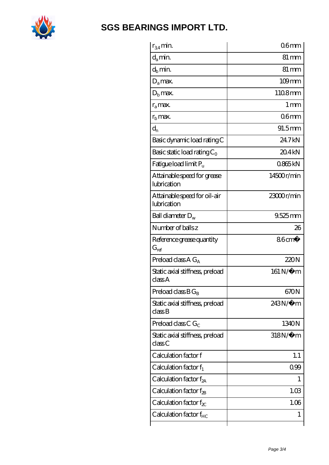

| $r_{34}$ min.                               | 06 <sub>mm</sub>     |
|---------------------------------------------|----------------------|
| $d_a$ min.                                  | $81 \,\mathrm{mm}$   |
| $d_b$ min.                                  | 81 mm                |
| $D_a$ max.                                  | $109$ mm             |
| $D_h$ max.                                  | 1108mm               |
| $r_{a}$ max.                                | 1 mm                 |
| $rb$ max.                                   | 06 <sub>mm</sub>     |
| $d_{n}$                                     | $91.5$ <sub>mm</sub> |
| Basic dynamic load rating C                 | 24.7kN               |
| Basic static load rating $C_0$              | 204kN                |
| Fatigue load limit P <sub>u</sub>           | 0865kN               |
| Attainable speed for grease<br>lubrication  | $14500$ r/min        |
| Attainable speed for oil-air<br>lubrication | 23000r/min           |
| Ball diameter $D_w$                         | $9.525$ mm           |
| Number of balls z                           | 26                   |
| Reference grease quantity<br>$G_{ref}$      | $86 \text{cm}^3$     |
| Preload class A $G_A$                       | 220N                 |
| Static axial stiffness, preload<br>classA   | 161 N/μ m            |
| Preload class $BG_B$                        | 670N                 |
| Static axial stiffness, preload<br>classB   | $243N/\mu$ m         |
| Preload class C $G_C$                       | 1340N                |
| Static axial stiffness, preload<br>classC   | $318N/\mu$ m         |
| Calculation factor f                        | 1.1                  |
| Calculation factor $f_1$                    | 099                  |
| Calculation factor $f_{2A}$                 | 1                    |
|                                             |                      |
| Calculation factor f <sub>2B</sub>          | 1.03                 |
| Calculation factor $f_{\chi}$               | 1.06                 |
| Calculation factor f <sub>HC</sub>          | 1                    |